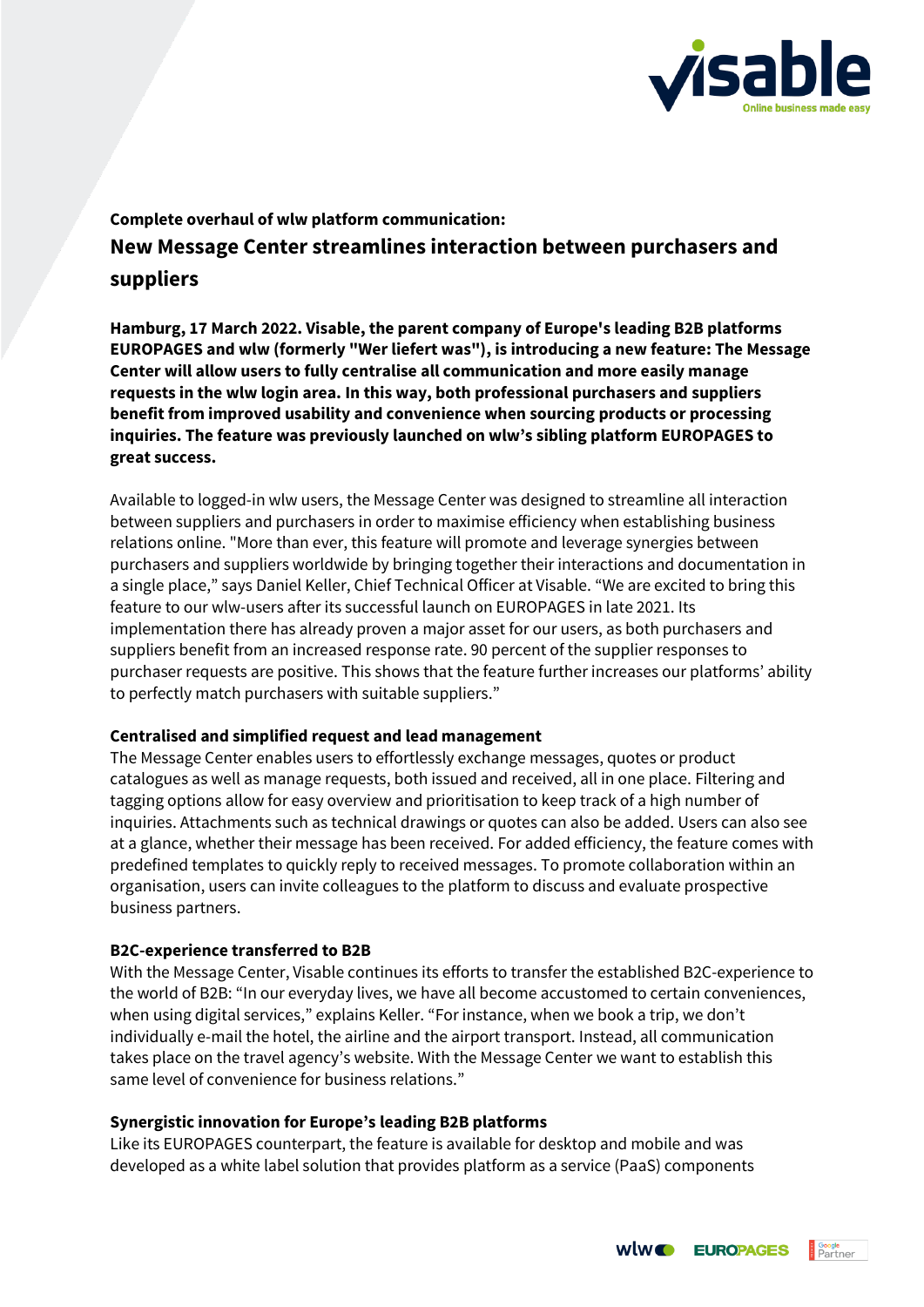

# **Complete overhaul of wlw platform communication: New Message Center streamlines interaction between purchasers and suppliers**

**Hamburg, 17 March 2022. Visable, the parent company of Europe's leading B2B platforms EUROPAGES and wlw (formerly "Wer liefert was"), is introducing a new feature: The Message Center will allow users to fully centralise all communication and more easily manage requests in the wlw login area. In this way, both professional purchasers and suppliers benefit from improved usability and convenience when sourcing products or processing inquiries. The feature was previously launched on wlw's sibling platform EUROPAGES to great success.**

Available to logged-in wlw users, the Message Center was designed to streamline all interaction between suppliers and purchasers in order to maximise efficiency when establishing business relations online. "More than ever, this feature will promote and leverage synergies between purchasers and suppliers worldwide by bringing together their interactions and documentation in a single place," says Daniel Keller, Chief Technical Officer at Visable. "We are excited to bring this feature to our wlw-users after its successful launch on EUROPAGES in late 2021. Its implementation there has already proven a major asset for our users, as both purchasers and suppliers benefit from an increased response rate. 90 percent of the supplier responses to purchaser requests are positive. This shows that the feature further increases our platforms' ability to perfectly match purchasers with suitable suppliers."

## **Centralised and simplified request and lead management**

The Message Center enables users to effortlessly exchange messages, quotes or product catalogues as well as manage requests, both issued and received, all in one place. Filtering and tagging options allow for easy overview and prioritisation to keep track of a high number of inquiries. Attachments such as technical drawings or quotes can also be added. Users can also see at a glance, whether their message has been received. For added efficiency, the feature comes with predefined templates to quickly reply to received messages. To promote collaboration within an organisation, users can invite colleagues to the platform to discuss and evaluate prospective business partners.

# **B2C-experience transferred to B2B**

With the Message Center, Visable continues its efforts to transfer the established B2C-experience to the world of B2B: "In our everyday lives, we have all become accustomed to certain conveniences, when using digital services," explains Keller. "For instance, when we book a trip, we don't individually e-mail the hotel, the airline and the airport transport. Instead, all communication takes place on the travel agency's website. With the Message Center we want to establish this same level of convenience for business relations."

## **Synergistic innovation for Europe's leading B2B platforms**

Like its EUROPAGES counterpart, the feature is available for desktop and mobile and was developed as a white label solution that provides platform as a service (PaaS) components